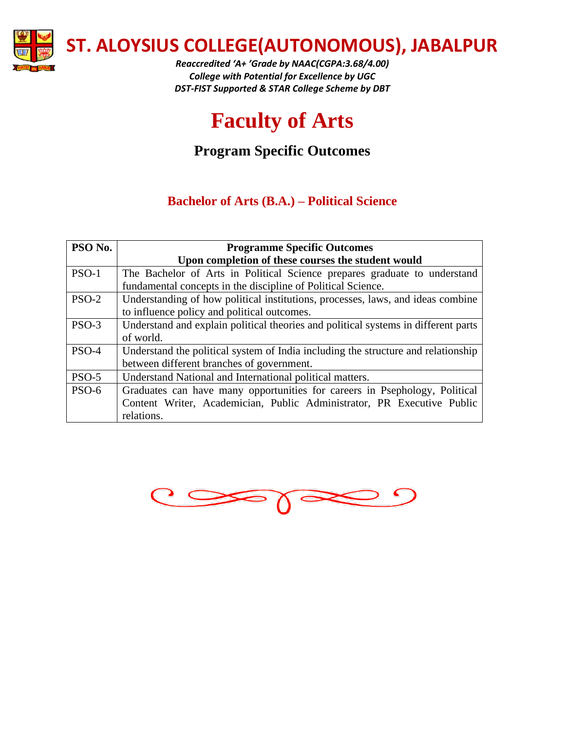

*Reaccredited 'A+ 'Grade by NAAC(CGPA:3.68/4.00) College with Potential for Excellence by UGC DST-FIST Supported & STAR College Scheme by DBT*

# **Faculty of Arts**

## **Program Specific Outcomes**

#### **Bachelor of Arts (B.A.) – Political Science**

| PSO No. | <b>Programme Specific Outcomes</b>                                                 |
|---------|------------------------------------------------------------------------------------|
|         | Upon completion of these courses the student would                                 |
| $PSO-1$ | The Bachelor of Arts in Political Science prepares graduate to understand          |
|         | fundamental concepts in the discipline of Political Science.                       |
| $PSO-2$ | Understanding of how political institutions, processes, laws, and ideas combine    |
|         | to influence policy and political outcomes.                                        |
| $PSO-3$ | Understand and explain political theories and political systems in different parts |
|         | of world.                                                                          |
| $PSO-4$ | Understand the political system of India including the structure and relationship  |
|         | between different branches of government.                                          |
| $PSO-5$ | Understand National and International political matters.                           |
| PSO-6   | Graduates can have many opportunities for careers in Psephology, Political         |
|         | Content Writer, Academician, Public Administrator, PR Executive Public             |
|         | relations.                                                                         |

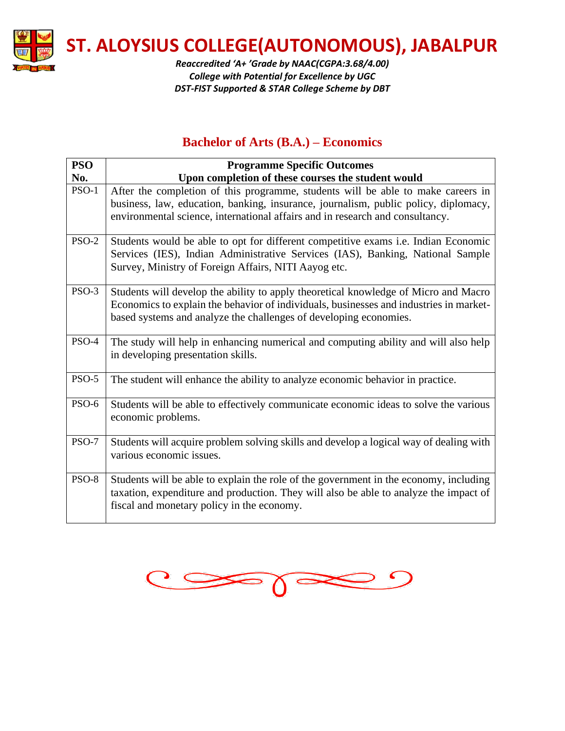

*Reaccredited 'A+ 'Grade by NAAC(CGPA:3.68/4.00) College with Potential for Excellence by UGC DST-FIST Supported & STAR College Scheme by DBT*

#### **Bachelor of Arts (B.A.) – Economics**

| <b>PSO</b>   | <b>Programme Specific Outcomes</b>                                                                                                                                                                                                  |
|--------------|-------------------------------------------------------------------------------------------------------------------------------------------------------------------------------------------------------------------------------------|
| No.          | Upon completion of these courses the student would                                                                                                                                                                                  |
| $PSO-1$      | After the completion of this programme, students will be able to make careers in                                                                                                                                                    |
|              | business, law, education, banking, insurance, journalism, public policy, diplomacy,<br>environmental science, international affairs and in research and consultancy.                                                                |
| <b>PSO-2</b> | Students would be able to opt for different competitive exams <i>i.e.</i> Indian Economic<br>Services (IES), Indian Administrative Services (IAS), Banking, National Sample<br>Survey, Ministry of Foreign Affairs, NITI Aayog etc. |
| PSO-3        | Students will develop the ability to apply theoretical knowledge of Micro and Macro<br>Economics to explain the behavior of individuals, businesses and industries in market-                                                       |
|              | based systems and analyze the challenges of developing economies.                                                                                                                                                                   |
| PSO-4        | The study will help in enhancing numerical and computing ability and will also help<br>in developing presentation skills.                                                                                                           |
| <b>PSO-5</b> | The student will enhance the ability to analyze economic behavior in practice.                                                                                                                                                      |
| <b>PSO-6</b> | Students will be able to effectively communicate economic ideas to solve the various<br>economic problems.                                                                                                                          |
| PSO-7        | Students will acquire problem solving skills and develop a logical way of dealing with<br>various economic issues.                                                                                                                  |
| PSO-8        | Students will be able to explain the role of the government in the economy, including<br>taxation, expenditure and production. They will also be able to analyze the impact of<br>fiscal and monetary policy in the economy.        |

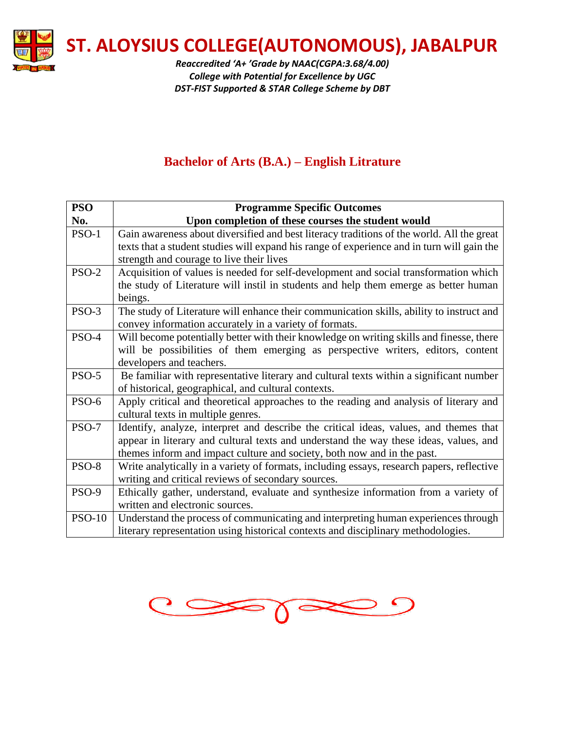

*Reaccredited 'A+ 'Grade by NAAC(CGPA:3.68/4.00) College with Potential for Excellence by UGC DST-FIST Supported & STAR College Scheme by DBT*

## **Bachelor of Arts (B.A.) – English Litrature**

| <b>PSO</b>    | <b>Programme Specific Outcomes</b>                                                         |
|---------------|--------------------------------------------------------------------------------------------|
| No.           | Upon completion of these courses the student would                                         |
| PSO-1         | Gain awareness about diversified and best literacy traditions of the world. All the great  |
|               | texts that a student studies will expand his range of experience and in turn will gain the |
|               | strength and courage to live their lives                                                   |
| PSO-2         | Acquisition of values is needed for self-development and social transformation which       |
|               | the study of Literature will instil in students and help them emerge as better human       |
|               | beings.                                                                                    |
| PSO-3         | The study of Literature will enhance their communication skills, ability to instruct and   |
|               | convey information accurately in a variety of formats.                                     |
| PSO-4         | Will become potentially better with their knowledge on writing skills and finesse, there   |
|               | will be possibilities of them emerging as perspective writers, editors, content            |
|               | developers and teachers.                                                                   |
| $PSO-5$       | Be familiar with representative literary and cultural texts within a significant number    |
|               | of historical, geographical, and cultural contexts.                                        |
| PSO-6         | Apply critical and theoretical approaches to the reading and analysis of literary and      |
|               | cultural texts in multiple genres.                                                         |
| PSO-7         | Identify, analyze, interpret and describe the critical ideas, values, and themes that      |
|               | appear in literary and cultural texts and understand the way these ideas, values, and      |
|               | themes inform and impact culture and society, both now and in the past.                    |
| PSO-8         | Write analytically in a variety of formats, including essays, research papers, reflective  |
|               | writing and critical reviews of secondary sources.                                         |
| PSO-9         | Ethically gather, understand, evaluate and synthesize information from a variety of        |
|               | written and electronic sources.                                                            |
| <b>PSO-10</b> | Understand the process of communicating and interpreting human experiences through         |
|               | literary representation using historical contexts and disciplinary methodologies.          |

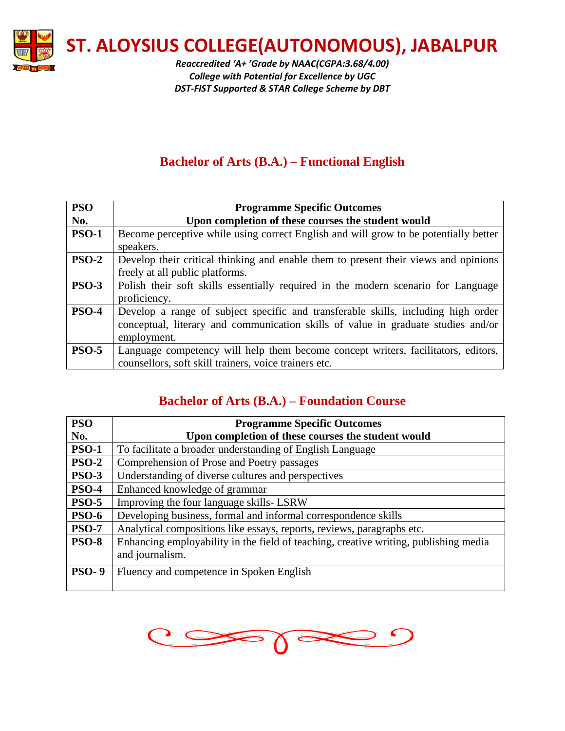

*Reaccredited 'A+ 'Grade by NAAC(CGPA:3.68/4.00) College with Potential for Excellence by UGC DST-FIST Supported & STAR College Scheme by DBT*

## **Bachelor of Arts (B.A.) – Functional English**

| <b>PSO</b>   | <b>Programme Specific Outcomes</b>                                                   |
|--------------|--------------------------------------------------------------------------------------|
| No.          | Upon completion of these courses the student would                                   |
| <b>PSO-1</b> | Become perceptive while using correct English and will grow to be potentially better |
|              | speakers.                                                                            |
| <b>PSO-2</b> | Develop their critical thinking and enable them to present their views and opinions  |
|              | freely at all public platforms.                                                      |
| <b>PSO-3</b> | Polish their soft skills essentially required in the modern scenario for Language    |
|              | proficiency.                                                                         |
| <b>PSO-4</b> | Develop a range of subject specific and transferable skills, including high order    |
|              | conceptual, literary and communication skills of value in graduate studies and/or    |
|              | employment.                                                                          |
| <b>PSO-5</b> | Language competency will help them become concept writers, facilitators, editors,    |
|              | counsellors, soft skill trainers, voice trainers etc.                                |

#### **Bachelor of Arts (B.A.) – Foundation Course**

| <b>PSO</b>   | <b>Programme Specific Outcomes</b>                                                   |
|--------------|--------------------------------------------------------------------------------------|
| No.          | Upon completion of these courses the student would                                   |
| <b>PSO-1</b> | To facilitate a broader understanding of English Language                            |
| <b>PSO-2</b> | Comprehension of Prose and Poetry passages                                           |
| <b>PSO-3</b> | Understanding of diverse cultures and perspectives                                   |
| <b>PSO-4</b> | Enhanced knowledge of grammar                                                        |
| <b>PSO-5</b> | Improving the four language skills-LSRW                                              |
| <b>PSO-6</b> | Developing business, formal and informal correspondence skills                       |
| <b>PSO-7</b> | Analytical compositions like essays, reports, reviews, paragraphs etc.               |
| <b>PSO-8</b> | Enhancing employability in the field of teaching, creative writing, publishing media |
|              | and journalism.                                                                      |
| <b>PSO-9</b> | Fluency and competence in Spoken English                                             |
|              |                                                                                      |

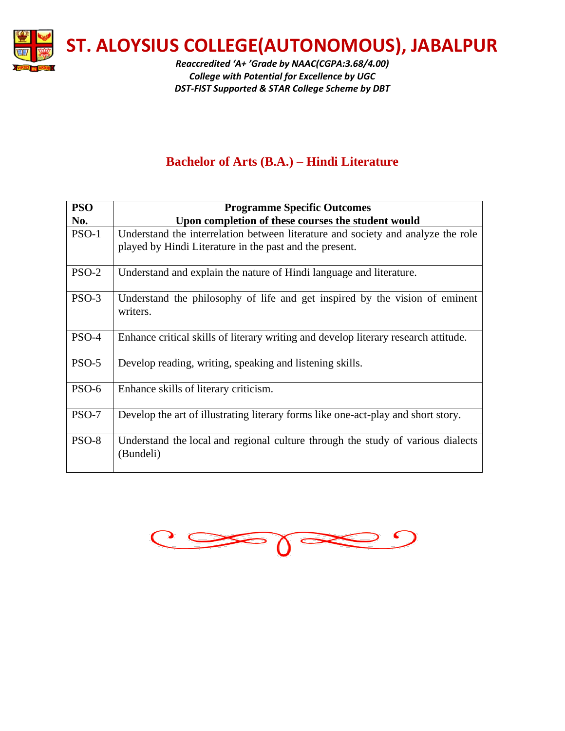

*Reaccredited 'A+ 'Grade by NAAC(CGPA:3.68/4.00) College with Potential for Excellence by UGC DST-FIST Supported & STAR College Scheme by DBT*

## **Bachelor of Arts (B.A.) – Hindi Literature**

| <b>PSO</b> | <b>Programme Specific Outcomes</b>                                                                                                          |
|------------|---------------------------------------------------------------------------------------------------------------------------------------------|
| No.        | Upon completion of these courses the student would                                                                                          |
| $PSO-1$    | Understand the interrelation between literature and society and analyze the role<br>played by Hindi Literature in the past and the present. |
|            |                                                                                                                                             |
| $PSO-2$    | Understand and explain the nature of Hindi language and literature.                                                                         |
| $PSO-3$    | Understand the philosophy of life and get inspired by the vision of eminent<br>writers.                                                     |
| PSO-4      | Enhance critical skills of literary writing and develop literary research attitude.                                                         |
| $PSO-5$    | Develop reading, writing, speaking and listening skills.                                                                                    |
| PSO-6      | Enhance skills of literary criticism.                                                                                                       |
| PSO-7      | Develop the art of illustrating literary forms like one-act-play and short story.                                                           |
| PSO-8      | Understand the local and regional culture through the study of various dialects<br>(Bundeli)                                                |

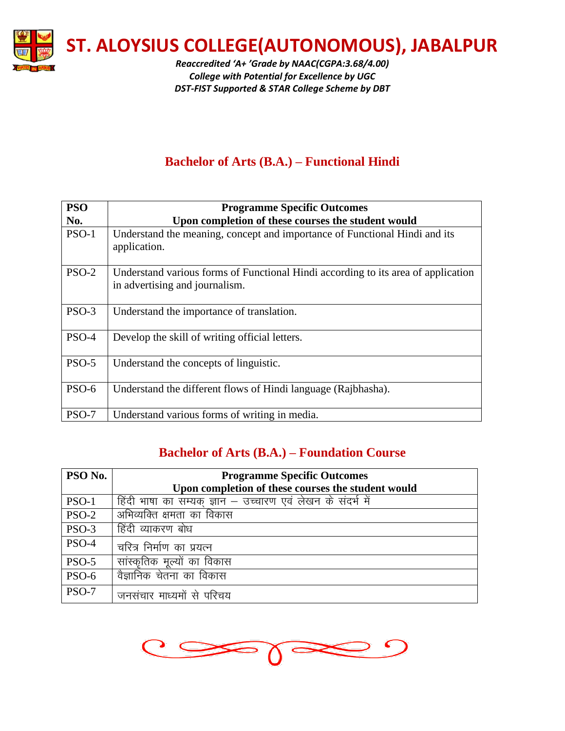

*Reaccredited 'A+ 'Grade by NAAC(CGPA:3.68/4.00) College with Potential for Excellence by UGC DST-FIST Supported & STAR College Scheme by DBT*

## **Bachelor of Arts (B.A.) – Functional Hindi**

| <b>PSO</b> | <b>Programme Specific Outcomes</b>                                                                                  |
|------------|---------------------------------------------------------------------------------------------------------------------|
| No.        | Upon completion of these courses the student would                                                                  |
| $PSO-1$    | Understand the meaning, concept and importance of Functional Hindi and its<br>application.                          |
| $PSO-2$    | Understand various forms of Functional Hindi according to its area of application<br>in advertising and journalism. |
| $PSO-3$    | Understand the importance of translation.                                                                           |
| PSO-4      | Develop the skill of writing official letters.                                                                      |
| $PSO-5$    | Understand the concepts of linguistic.                                                                              |
| PSO-6      | Understand the different flows of Hindi language (Rajbhasha).                                                       |
| PSO-7      | Understand various forms of writing in media.                                                                       |

#### **Bachelor of Arts (B.A.) – Foundation Course**

| PSO No.      | <b>Programme Specific Outcomes</b>                          |
|--------------|-------------------------------------------------------------|
|              | Upon completion of these courses the student would          |
| <b>PSO-1</b> | हिंदी भाषा का सम्यक् ज्ञान – उच्चारण एवं लेखन के संदर्भ में |
| <b>PSO-2</b> | अभिव्यक्ति क्षमता का विकास                                  |
| PSO-3        | हिंदी व्याकरण बोध                                           |
| PSO-4        | चरित्र निर्माण का प्रयत्न                                   |
| <b>PSO-5</b> | सांस्कृतिक मूल्यों का विकास                                 |
| <b>PSO-6</b> | वैज्ञानिक चेतना का विकास                                    |
| <b>PSO-7</b> | जनसंचार माध्यमों से परिचय                                   |